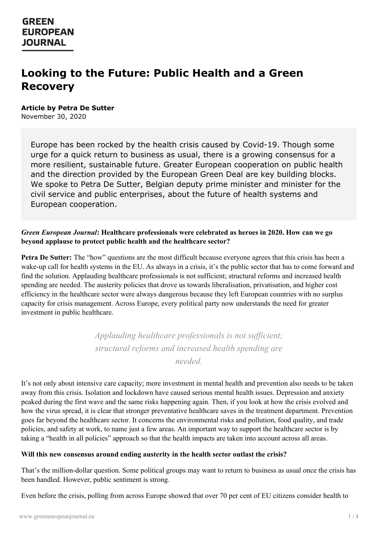# **Looking to the Future: Public Health and a Green Recovery**

### **Article by Petra De Sutter**

November 30, 2020

Europe has been rocked by the health crisis caused by Covid-19. Though some urge for a quick return to business as usual, there is a growing consensus for a more resilient, sustainable future. Greater European cooperation on public health and the direction provided by the European Green Deal are key building blocks. We spoke to Petra De Sutter, Belgian deputy prime minister and minister for the civil service and public enterprises, about the future of health systems and European cooperation.

### *Green European Journal***: Healthcare professionals were celebrated as heroes in 2020. How can we go beyond applause to protect public health and the healthcare sector?**

**Petra De Sutter:** The "how" questions are the most difficult because everyone agrees that this crisis has been a wake-up call for health systems in the EU. As always in a crisis, it's the public sector that has to come forward and find the solution. Applauding healthcare professionals is not sufficient; structural reforms and increased health spending are needed. The austerity policies that drove us towards liberalisation, privatisation, and higher cost efficiency in the healthcare sector were always dangerous because they left European countries with no surplus capacity for crisis management. Across Europe, every political party now understands the need for greater investment in public healthcare.

> *Applauding healthcare professionals is not suf icient; structural reforms and increased health spending are*

> > *needed.*

It's not only about intensive care capacity; more investment in mental health and prevention also needs to be taken away from this crisis. Isolation and lockdown have caused serious mental health issues. Depression and anxiety peaked during the first wave and the same risks happening again. Then, if you look at how the crisis evolved and how the virus spread, it is clear that stronger preventative healthcare saves in the treatment department. Prevention goes far beyond the healthcare sector. It concerns the environmental risks and pollution, food quality, and trade policies, and safety at work, to name just a few areas. An important way to support the healthcare sector is by taking a "health in all policies" approach so that the health impacts are taken into account across all areas.

### **Will this new [consensus](https://www.greeneuropeanjournal.eu) around ending austerity in the health sector outlast the crisis?**

That's the million-dollar question. Some political groups may want to return to business as usual once the crisis has been handled. However, public sentiment is strong.

Even before the crisis, polling from across Europe showed that over 70 per cent of EU citizens consider health to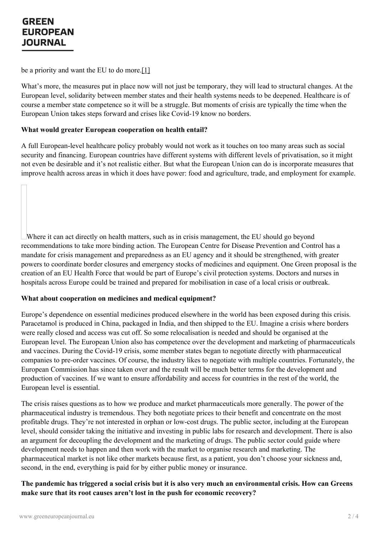be a priority and want the EU to do more.[1]

What's more, the measures put in place now will not just be temporary, they will lead to structural changes. At the European level, solidarity between member states and their health systems needs to be deepened. Healthcare is of course a member state competence so it will be a struggle. But moments of crisis are typically the time when the European Union takes steps forward and crises like Covid-19 know no borders.

### **What would greater European cooperation on health entail?**

A full European-level healthcare policy probably would not work as it touches on too many areas such as social security and financing. European countries have different systems with different levels of privatisation, so it might not even be desirable and it's not realistic either. But what the European Union can do is incorporate measures that improve health across areas in which it does have power: food and agriculture, trade, and employment for example.

Where it can act directly on health matters, such as in crisis management, the EU should go beyond recommendations to take more binding action. The European Centre for Disease Prevention and Control has a mandate for crisis management and preparedness as an EU agency and it should be strengthened, with greater powers to coordinate border closures and emergency stocks of medicines and equipment. One Green proposal is the creation of an EU Health Force that would be part of Europe's civil protection systems. Doctors and nurses in hospitals across Europe could be trained and prepared for mobilisation in case of a local crisis or outbreak.

### **What about cooperation on medicines and medical equipment?**

Europe's dependence on essential medicines produced elsewhere in the world has been exposed during this crisis. Paracetamol is produced in China, packaged in India, and then shipped to the EU. Imagine a crisis where borders were really closed and access was cut off. So some relocalisation is needed and should be organised at the European level. The European Union also has competence over the development and marketing of pharmaceuticals and vaccines. During the Covid-19 crisis, some member states began to negotiate directly with pharmaceutical companies to pre-order vaccines. Of course, the industry likes to negotiate with multiple countries. Fortunately, the European Commission has since taken over and the result will be much better terms for the development and production of vaccines. If we want to ensure affordability and access for countries in the rest of the world, the European level is essential.

The crisis raises questions as to how we produce and market pharmaceuticals more generally. The power of the pharmaceutical industry is tremendous. They both negotiate prices to their benefit and concentrate on the most profitable drugs. They're not interested in orphan or low-cost drugs. The public sector, including at the European level, should consider taking the initiative and investing in public labs for research and development. There is also an argument for decoupling the development and the marketing of drugs. The public sector could guide where [development](https://www.greeneuropeanjournal.eu) needs to happen and then work with the market to organise research and marketing. The pharmaceutical market is not like other markets because first, as a patient, you don't choose your sickness and, second, in the end, everything is paid for by either public money or insurance.

The pandemic has triggered a social crisis but it is also very much an environmental crisis. How can Greens **make sure that its root causes aren't lost in the push for economic recovery?**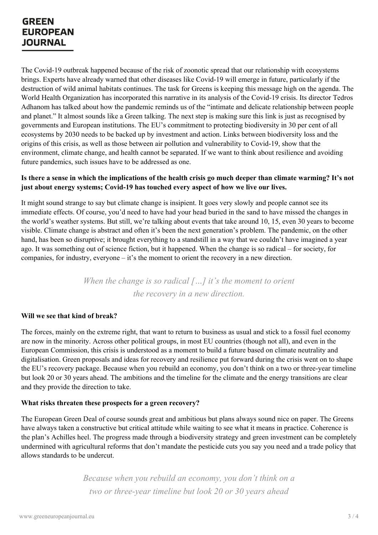The Covid-19 outbreak happened because of the risk of zoonotic spread that our relationship with ecosystems brings. Experts have already warned that other diseases like Covid-19 will emerge in future, particularly if the destruction of wild animal habitats continues. The task for Greens is keeping this message high on the agenda. The World Health Organization has incorporated this narrative in its analysis of the Covid-19 crisis. Its director Tedros Adhanom has talked about how the pandemic reminds us of the "intimate and delicate relationship between people and planet." It almost sounds like a Green talking. The next step is making sure this link is just as recognised by governments and European institutions. The EU's commitment to protecting biodiversity in 30 per cent of all ecosystems by 2030 needs to be backed up by investment and action. Links between biodiversity loss and the origins of this crisis, as well as those between air pollution and vulnerability to Covid-19, show that the environment, climate change, and health cannot be separated. If we want to think about resilience and avoiding future pandemics, such issues have to be addressed as one.

### Is there a sense in which the implications of the health crisis go much deeper than climate warming? It's not **just about energy systems; Covid-19 has touched every aspect of how we live our lives.**

It might sound strange to say but climate change is insipient. It goes very slowly and people cannot see its immediate effects. Of course, you'd need to have had your head buried in the sand to have missed the changes in the world's weather systems. But still, we're talking about events that take around 10, 15, even 30 years to become visible. Climate change is abstract and often it's been the next generation's problem. The pandemic, on the other hand, has been so disruptive; it brought everything to a standstill in a way that we couldn't have imagined a year ago. It was something out of science fiction, but it happened. When the change is so radical – for society, for companies, for industry, everyone – it's the moment to orient the recovery in a new direction.

> *When the change is so radical […] it's the moment to orient the recovery in a new direction.*

### **Will we see that kind of break?**

The forces, mainly on the extreme right, that want to return to business as usual and stick to a fossil fuel economy are now in the minority. Across other political groups, in most EU countries (though not all), and even in the European Commission, this crisis is understood as a moment to build a future based on climate neutrality and digitalisation. Green proposals and ideas for recovery and resilience put forward during the crisis went on to shape the EU's recovery package. Because when you rebuild an economy, you don't think on a two or three-year timeline but look 20 or 30 years ahead. The ambitions and the timeline for the climate and the energy transitions are clear and they provide the direction to take.

### **What risks threaten these prospects for a green recovery?**

The European Green Deal of course sounds great and ambitious but plans always sound nice on paper. The Greens have always taken a constructive but critical attitude while waiting to see what it means in practice. Coherence is the plan's Achilles heel. The progress made through a biodiversity strategy and green investment can be completely [undermined](https://www.greeneuropeanjournal.eu) with agricultural reforms that don't mandate the pesticide cuts you say you need and a trade policy that allows standards to be undercut.

> *Because when you rebuild an economy, you don't think on a two or three-year timeline but look 20 or 30 years ahead*